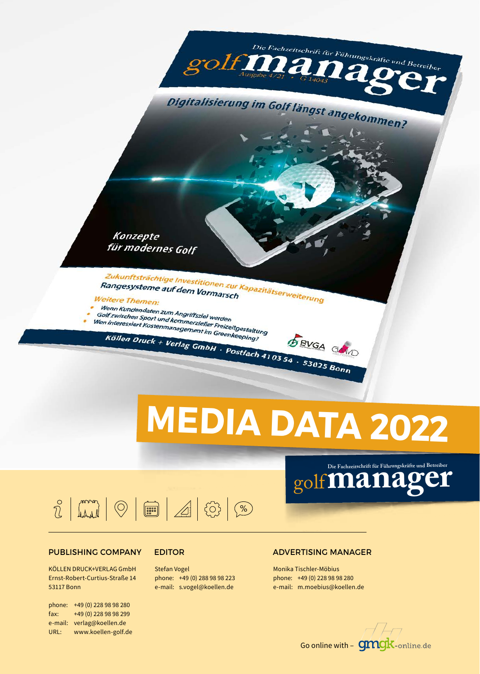Konzepte für modernes Golf Zukunftsträchtige Investitionen zur Kapazitätserweiterung<br>Rangesysteme auf dem Vormarsch<br>eitere Themen: **Example and Contige Investitionen zur Angesysteme auf dem Vormarschreite**<br>Weitere Themax **Weitere Themen:** *Checke Tilemen:*<br>Wenn Kundendaten zum Angriffsziel werden<br>Golf zwischen Sport und kommerzieller E Wenn Kundendaten zum Angriffsziel werden<br>Golf zwischen Sport und kommerzieller Freizeitgestaltung<br>Wen interessiert Kostenmanagement im Greenkeeping?<br>Köller – F Golf zwischen Sport und kommerzieller Freizeitgestalturen<br>Wen interessiert Kostenmanagement im Greenkeeping?<br>Köllen Druck + Verlaa Köllen Druck + Verlag GmbH · Postfach 4103 54 · 53025 Bonn **SBVGA GAND** 

golf

# **MEDIA DATA 2022**

 $\frac{1}{2}$   $\frac{1}{2}$   $\frac{1}{2}$   $\frac{1}{2}$   $\frac{1}{2}$   $\frac{1}{2}$   $\frac{1}{2}$   $\frac{1}{2}$   $\frac{1}{2}$   $\frac{1}{2}$   $\frac{1}{2}$   $\frac{1}{2}$   $\frac{1}{2}$   $\frac{1}{2}$   $\frac{1}{2}$   $\frac{1}{2}$   $\frac{1}{2}$   $\frac{1}{2}$   $\frac{1}{2}$   $\frac{1}{2}$   $\frac{1}{2}$   $\frac{1}{2}$ 

#### PUBLISHING COMPANY

KÖLLEN DRUCK+VERLAG GmbH Ernst-Robert-Curtius-Straße 14 53117 Bonn

phone: +49 (0) 228 98 98 280 fax: +49 (0) 228 98 98 299 e-mail: verlag@koellen.de URL: www.koellen-golf.de

Stefan Vogel phone: +49 (0) 288 98 98 223 e-mail: s.vogel@koellen.de

#### EDITOR ADVERTISING MANAGER

Monika Tischler-Möbius phone: +49 (0) 228 98 98 280 e-mail: m.moebius@koellen.de



golf**manager**

Die Fachzeitschrift für Führungskräfte und Betreiber

Ша

Digitalisierung im Golf längst angekommen?

Die Fachzeitschrift für Führungskräfte un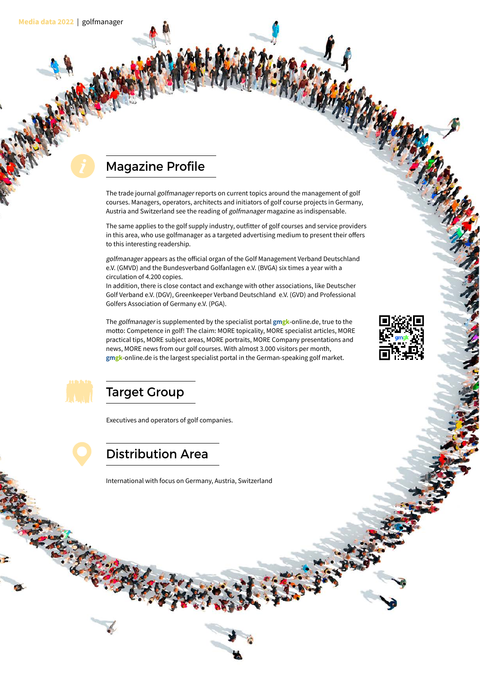#### Magazine Profile

The trade journal golfmanager reports on current topics around the management of golf courses. Managers, operators, architects and initiators of golf course projects in Germany, Austria and Switzerland see the reading of golfmanager magazine as indispensable.

The same applies to the golf supply industry, outfitter of golf courses and service providers in this area, who use golfmanager as a targeted advertising medium to present their offers to this interesting readership.

golfmanager appears as the official organ of the Golf Management Verband Deutschland e.V. (GMVD) and the Bundesverband Golfanlagen e.V. (BVGA) six times a year with a circulation of 4.200 copies.

In addition, there is close contact and exchange with other associations, like Deutscher Golf Verband e.V. (DGV), Greenkeeper Verband Deutschland e.V. (GVD) and Professional Golfers Association of Germany e.V. (PGA).

The golfmanager is supplemented by the specialist portal **gmgk**-online.de, true to the motto: Competence in golf! The claim: MORE topicality, MORE specialist articles, MORE practical tips, MORE subject areas, MORE portraits, MORE Company presentations and news, MORE news from our golf courses. With almost 3.000 visitors per month, **gmgk**-online.de is the largest specialist portal in the German-speaking golf market.





#### Target Group

Executives and operators of golf companies.

Distribution Area

International with focus on Germany, Austria, Switzerland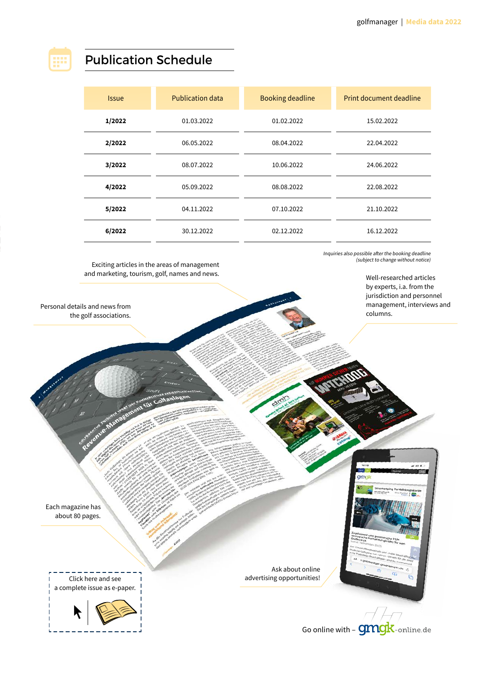#### Publication Schedule

| <i><b>Issue</b></i> | <b>Publication data</b> | <b>Booking deadline</b> | Print document deadline |
|---------------------|-------------------------|-------------------------|-------------------------|
| 1/2022              | 01.03.2022              | 01.02.2022              | 15.02.2022              |
| 2/2022              | 06.05.2022              | 08.04.2022              | 22.04.2022              |
| 3/2022              | 08.07.2022              | 10.06.2022              | 24.06.2022              |
| 4/2022              | 05.09.2022              | 08.08.2022              | 22.08.2022              |
| 5/2022              | 04.11.2022              | 07.10.2022              | 21.10.2022              |
| 6/2022              | 30.12.2022              | 02.12.2022              | 16.12.2022              |

Exciting articles in the areas of management and marketing, tourism, golf, names and news. Inquiries also possible after the booking deadline (subject to change without notice)

> Well-researched articles by experts, i.a. from the jurisdiction and personnel management, interviews and columns.

> > $40.8$

Personal details and news from the golf associations.

> Ask about online advertising opportunities!



Each magazine has about 80 pages.

> Click here and see a complete issue as e-paper.